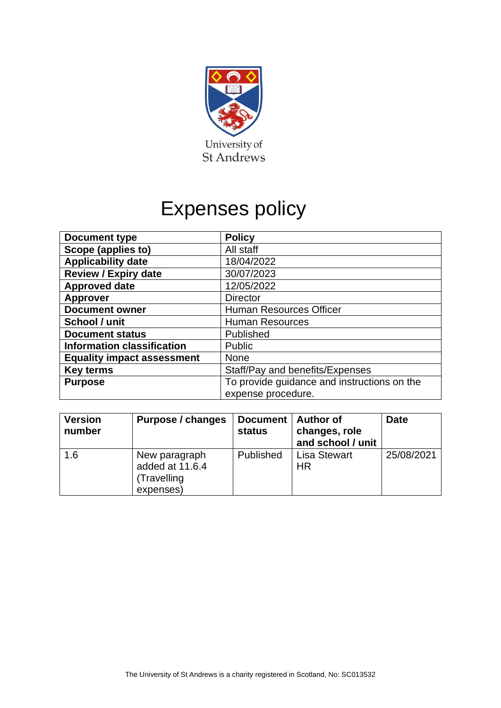

# Expenses policy

| <b>Document type</b>              | <b>Policy</b>                               |  |  |
|-----------------------------------|---------------------------------------------|--|--|
| Scope (applies to)                | All staff                                   |  |  |
| <b>Applicability date</b>         | 18/04/2022                                  |  |  |
| <b>Review / Expiry date</b>       | 30/07/2023                                  |  |  |
| <b>Approved date</b>              | 12/05/2022                                  |  |  |
| <b>Approver</b>                   | <b>Director</b>                             |  |  |
| <b>Document owner</b>             | <b>Human Resources Officer</b>              |  |  |
| School / unit                     | <b>Human Resources</b>                      |  |  |
| <b>Document status</b>            | Published                                   |  |  |
| <b>Information classification</b> | <b>Public</b>                               |  |  |
| <b>Equality impact assessment</b> | <b>None</b>                                 |  |  |
| <b>Key terms</b>                  | Staff/Pay and benefits/Expenses             |  |  |
| <b>Purpose</b>                    | To provide guidance and instructions on the |  |  |
|                                   | expense procedure.                          |  |  |

| <b>Version</b><br>number | Purpose / changes                                            | Document   Author of<br>status | changes, role<br>and school / unit | <b>Date</b> |
|--------------------------|--------------------------------------------------------------|--------------------------------|------------------------------------|-------------|
| 1.6                      | New paragraph<br>added at 11.6.4<br>(Travelling<br>expenses) | Published                      | <b>Lisa Stewart</b><br><b>HR</b>   | 25/08/2021  |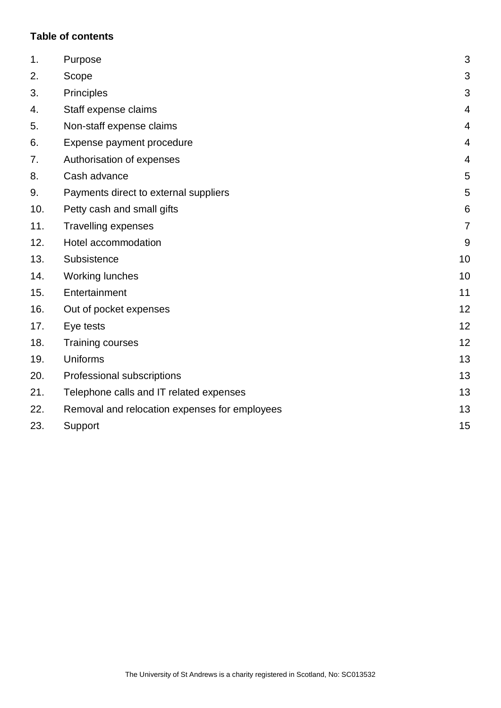# **Table of contents**

| 1.  | Purpose                                       | 3              |
|-----|-----------------------------------------------|----------------|
| 2.  | Scope                                         | 3              |
| 3.  | Principles                                    | 3              |
| 4.  | Staff expense claims                          | $\overline{4}$ |
| 5.  | Non-staff expense claims                      | 4              |
| 6.  | Expense payment procedure                     | $\overline{4}$ |
| 7.  | Authorisation of expenses                     | $\overline{4}$ |
| 8.  | Cash advance                                  | 5              |
| 9.  | Payments direct to external suppliers         | 5              |
| 10. | Petty cash and small gifts                    | 6              |
| 11. | Travelling expenses                           | $\overline{7}$ |
| 12. | Hotel accommodation                           | 9              |
| 13. | Subsistence                                   | 10             |
| 14. | <b>Working lunches</b>                        | 10             |
| 15. | Entertainment                                 | 11             |
| 16. | Out of pocket expenses                        | 12             |
| 17. | Eye tests                                     | 12             |
| 18. | <b>Training courses</b>                       | 12             |
| 19. | Uniforms                                      | 13             |
| 20. | Professional subscriptions                    | 13             |
| 21. | Telephone calls and IT related expenses       | 13             |
| 22. | Removal and relocation expenses for employees | 13             |
| 23. | Support                                       | 15             |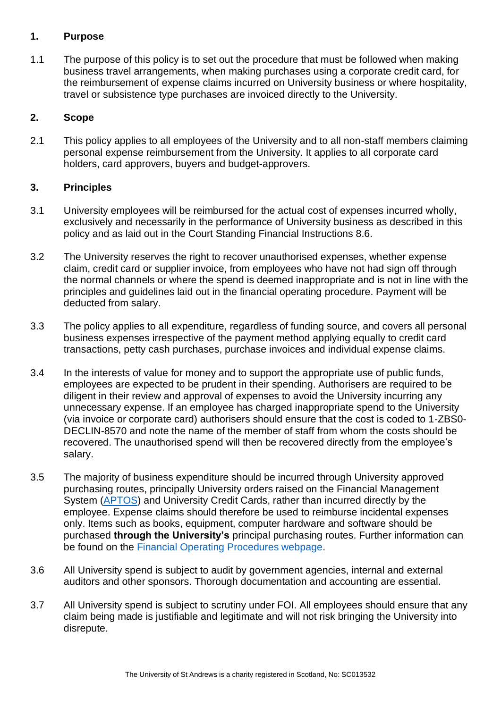# <span id="page-2-0"></span>**1. Purpose**

1.1 The purpose of this policy is to set out the procedure that must be followed when making business travel arrangements, when making purchases using a corporate credit card, for the reimbursement of expense claims incurred on University business or where hospitality, travel or subsistence type purchases are invoiced directly to the University.

# <span id="page-2-1"></span>**2. Scope**

2.1 This policy applies to all employees of the University and to all non-staff members claiming personal expense reimbursement from the University. It applies to all corporate card holders, card approvers, buyers and budget-approvers.

# <span id="page-2-2"></span>**3. Principles**

- 3.1 University employees will be reimbursed for the actual cost of expenses incurred wholly, exclusively and necessarily in the performance of University business as described in this policy and as laid out in the Court Standing Financial Instructions 8.6.
- 3.2 The University reserves the right to recover unauthorised expenses, whether expense claim, credit card or supplier invoice, from employees who have not had sign off through the normal channels or where the spend is deemed inappropriate and is not in line with the principles and guidelines laid out in the financial operating procedure. Payment will be deducted from salary.
- 3.3 The policy applies to all expenditure, regardless of funding source, and covers all personal business expenses irrespective of the payment method applying equally to credit card transactions, petty cash purchases, purchase invoices and individual expense claims.
- 3.4 In the interests of value for money and to support the appropriate use of public funds, employees are expected to be prudent in their spending. Authorisers are required to be diligent in their review and approval of expenses to avoid the University incurring any unnecessary expense. If an employee has charged inappropriate spend to the University (via invoice or corporate card) authorisers should ensure that the cost is coded to 1-ZBS0- DECLIN-8570 and note the name of the member of staff from whom the costs should be recovered. The unauthorised spend will then be recovered directly from the employee's salary.
- 3.5 The majority of business expenditure should be incurred through University approved purchasing routes, principally University orders raised on the Financial Management System [\(APTOS\)](https://www.st-andrews.ac.uk/staff/money/aptossystem/) and University Credit Cards, rather than incurred directly by the employee. Expense claims should therefore be used to reimburse incidental expenses only. Items such as books, equipment, computer hardware and software should be purchased **through the University's** principal purchasing routes. Further information can be found on the [Financial Operating Procedures webpage.](https://www.st-andrews.ac.uk/staff/policy/financialoperatingprocedures/)
- 3.6 All University spend is subject to audit by government agencies, internal and external auditors and other sponsors. Thorough documentation and accounting are essential.
- 3.7 All University spend is subject to scrutiny under FOI. All employees should ensure that any claim being made is justifiable and legitimate and will not risk bringing the University into disrepute.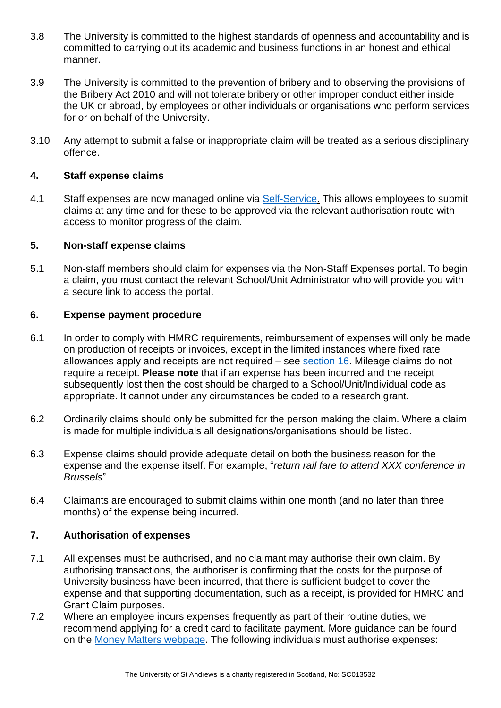- 3.8 The University is committed to the highest standards of openness and accountability and is committed to carrying out its academic and business functions in an honest and ethical manner.
- 3.9 The University is committed to the prevention of bribery and to observing the provisions of the Bribery Act 2010 and will not tolerate bribery or other improper conduct either inside the UK or abroad, by employees or other individuals or organisations who perform services for or on behalf of the University.
- 3.10 Any attempt to submit a false or inappropriate claim will be treated as a serious disciplinary offence.

#### <span id="page-3-0"></span>**4. Staff expense claims**

4.1 Staff expenses are now managed online via [Self-Service.](https://www.st-andrews.ac.uk/selfservice/) This allows employees to submit claims at any time and for these to be approved via the relevant authorisation route with access to monitor progress of the claim.

# <span id="page-3-1"></span>**5. Non-staff expense claims**

5.1 Non-staff members should claim for expenses via the Non-Staff Expenses portal. To begin a claim, you must contact the relevant School/Unit Administrator who will provide you with a secure link to access the portal.

#### <span id="page-3-2"></span>**6. Expense payment procedure**

- 6.1 In order to comply with HMRC requirements, reimbursement of expenses will only be made on production of receipts or invoices, except in the limited instances where fixed rate allowances apply and receipts are not required – see [section 16.](#page-11-0) Mileage claims do not require a receipt. **Please note** that if an expense has been incurred and the receipt subsequently lost then the cost should be charged to a School/Unit/Individual code as appropriate. It cannot under any circumstances be coded to a research grant.
- 6.2 Ordinarily claims should only be submitted for the person making the claim. Where a claim is made for multiple individuals all designations/organisations should be listed.
- 6.3 Expense claims should provide adequate detail on both the business reason for the expense and the expense itself. For example, "*return rail fare to attend XXX conference in Brussels*"
- 6.4 Claimants are encouraged to submit claims within one month (and no later than three months) of the expense being incurred.

#### <span id="page-3-3"></span>**7. Authorisation of expenses**

- 7.1 All expenses must be authorised, and no claimant may authorise their own claim. By authorising transactions, the authoriser is confirming that the costs for the purpose of University business have been incurred, that there is sufficient budget to cover the expense and that supporting documentation, such as a receipt, is provided for HMRC and Grant Claim purposes.
- 7.2 Where an employee incurs expenses frequently as part of their routine duties, we recommend applying for a credit card to facilitate payment. More guidance can be found on the [Money Matters webpage.](https://www.st-andrews.ac.uk/staff/money/corporatecards/) The following individuals must authorise expenses: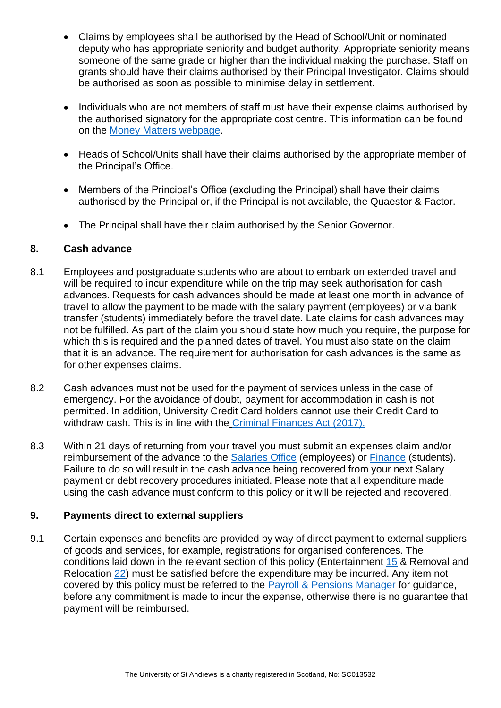- Claims by employees shall be authorised by the Head of School/Unit or nominated deputy who has appropriate seniority and budget authority. Appropriate seniority means someone of the same grade or higher than the individual making the purchase. Staff on grants should have their claims authorised by their Principal Investigator. Claims should be authorised as soon as possible to minimise delay in settlement.
- Individuals who are not members of staff must have their expense claims authorised by the authorised signatory for the appropriate cost centre. This information can be found on the [Money Matters webpage.](http://www.st-andrews.ac.uk/staff/money/Authorisedsignatories/)
- Heads of School/Units shall have their claims authorised by the appropriate member of the Principal's Office.
- Members of the Principal's Office (excluding the Principal) shall have their claims authorised by the Principal or, if the Principal is not available, the Quaestor & Factor.
- The Principal shall have their claim authorised by the Senior Governor.

# <span id="page-4-0"></span>**8. Cash advance**

- 8.1 Employees and postgraduate students who are about to embark on extended travel and will be required to incur expenditure while on the trip may seek authorisation for cash advances. Requests for cash advances should be made at least one month in advance of travel to allow the payment to be made with the salary payment (employees) or via bank transfer (students) immediately before the travel date. Late claims for cash advances may not be fulfilled. As part of the claim you should state how much you require, the purpose for which this is required and the planned dates of travel. You must also state on the claim that it is an advance. The requirement for authorisation for cash advances is the same as for other expenses claims.
- 8.2 Cash advances must not be used for the payment of services unless in the case of emergency. For the avoidance of doubt, payment for accommodation in cash is not permitted. In addition, University Credit Card holders cannot use their Credit Card to withdraw cash. This is in line with the [Criminal Finances Act \(2017\).](http://www.legislation.gov.uk/ukpga/2017/22/contents/enacted)
- 8.3 Within 21 days of returning from your travel you must submit an expenses claim and/or reimbursement of the advance to the [Salaries Office](https://www.st-andrews.ac.uk/hr/salariesandpensions/) (employees) or [Finance](https://www.st-andrews.ac.uk/about/professional-services/finance/) (students). Failure to do so will result in the cash advance being recovered from your next Salary payment or debt recovery procedures initiated. Please note that all expenditure made using the cash advance must conform to this policy or it will be rejected and recovered.

#### <span id="page-4-1"></span>**9. Payments direct to external suppliers**

9.1 Certain expenses and benefits are provided by way of direct payment to external suppliers of goods and services, for example, registrations for organised conferences. The conditions laid down in the relevant section of this policy (Entertainment [15](#page-10-0) & Removal and Relocation [22\)](#page-12-2) must be satisfied before the expenditure may be incurred. Any item not covered by this policy must be referred to the [Payroll & Pensions Manager](https://www.st-andrews.ac.uk/hr/hrstaff/) for guidance, before any commitment is made to incur the expense, otherwise there is no guarantee that payment will be reimbursed.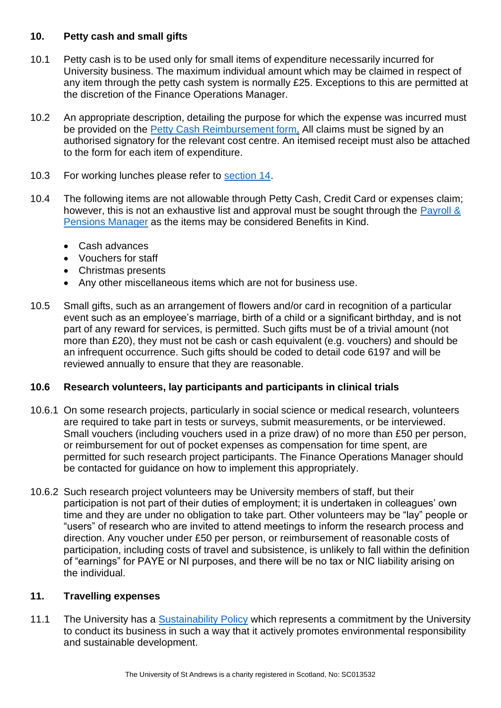# <span id="page-5-0"></span>**10. Petty cash and small gifts**

- 10.1 Petty cash is to be used only for small items of expenditure necessarily incurred for University business. The maximum individual amount which may be claimed in respect of any item through the petty cash system is normally £25. Exceptions to this are permitted at the discretion of the Finance Operations Manager.
- 10.2 An appropriate description, detailing the purpose for which the expense was incurred must be provided on the [Petty Cash Reimbursement form.](https://www.st-andrews.ac.uk/staff/money/makingpayments/pettycash/) All claims must be signed by an authorised signatory for the relevant cost centre. An itemised receipt must also be attached to the form for each item of expenditure.
- 10.3 For working lunches please refer to [section 14.](#page-9-1)
- 10.4 The following items are not allowable through Petty Cash, Credit Card or expenses claim; however, this is not an exhaustive list and approval must be sought through the Payroll & [Pensions Manager](https://www.st-andrews.ac.uk/hr/hrstaff/) as the items may be considered Benefits in Kind.
	- Cash advances
	- Vouchers for staff
	- Christmas presents
	- Any other miscellaneous items which are not for business use.
- 10.5 Small gifts, such as an arrangement of flowers and/or card in recognition of a particular event such as an employee's marriage, birth of a child or a significant birthday, and is not part of any reward for services, is permitted. Such gifts must be of a trivial amount (not more than £20), they must not be cash or cash equivalent (e.g. vouchers) and should be an infrequent occurrence. Such gifts should be coded to detail code 6197 and will be reviewed annually to ensure that they are reasonable.

# **10.6 Research volunteers, lay participants and participants in clinical trials**

- 10.6.1 On some research projects, particularly in social science or medical research, volunteers are required to take part in tests or surveys, submit measurements, or be interviewed. Small vouchers (including vouchers used in a prize draw) of no more than £50 per person, or reimbursement for out of pocket expenses as compensation for time spent, are permitted for such research project participants. The Finance Operations Manager should be contacted for guidance on how to implement this appropriately.
- 10.6.2 Such research project volunteers may be University members of staff, but their participation is not part of their duties of employment; it is undertaken in colleagues' own time and they are under no obligation to take part. Other volunteers may be "lay" people or "users" of research who are invited to attend meetings to inform the research process and direction. Any voucher under £50 per person, or reimbursement of reasonable costs of participation, including costs of travel and subsistence, is unlikely to fall within the definition of "earnings" for PAYE or NI purposes, and there will be no tax or NIC liability arising on the individual.

#### <span id="page-5-1"></span>**11. Travelling expenses**

11.1 The University has a [Sustainability Policy](https://www.st-andrews.ac.uk/media/estates/Travel%20Plan%202015.pdf) which represents a commitment by the University to conduct its business in such a way that it actively promotes environmental responsibility and sustainable development.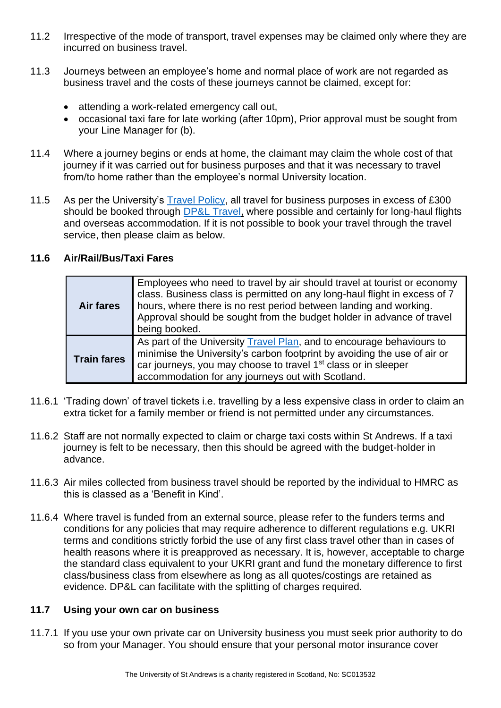- 11.2 Irrespective of the mode of transport, travel expenses may be claimed only where they are incurred on business travel.
- 11.3 Journeys between an employee's home and normal place of work are not regarded as business travel and the costs of these journeys cannot be claimed, except for:
	- attending a work-related emergency call out,
	- occasional taxi fare for late working (after 10pm), Prior approval must be sought from your Line Manager for (b).
- 11.4 Where a journey begins or ends at home, the claimant may claim the whole cost of that journey if it was carried out for business purposes and that it was necessary to travel from/to home rather than the employee's normal University location.
- 11.5 As per the University's [Travel Policy,](https://www.st-andrews.ac.uk/media/restricted/procurement/intranet/travel-policy.pdf) all travel for business purposes in excess of £300 should be booked through [DP&L Travel,](mailto:st-andrews@dpandl.co.uk) where possible and certainly for long-haul flights and overseas accommodation. If it is not possible to book your travel through the travel service, then please claim as below.

# **11.6 Air/Rail/Bus/Taxi Fares**

| <b>Air fares</b>   | Employees who need to travel by air should travel at tourist or economy<br>class. Business class is permitted on any long-haul flight in excess of 7<br>hours, where there is no rest period between landing and working.<br>Approval should be sought from the budget holder in advance of travel<br>being booked. |
|--------------------|---------------------------------------------------------------------------------------------------------------------------------------------------------------------------------------------------------------------------------------------------------------------------------------------------------------------|
| <b>Train fares</b> | As part of the University Travel Plan, and to encourage behaviours to<br>minimise the University's carbon footprint by avoiding the use of air or<br>car journeys, you may choose to travel 1 <sup>st</sup> class or in sleeper<br>accommodation for any journeys out with Scotland.                                |

- 11.6.1 'Trading down' of travel tickets i.e. travelling by a less expensive class in order to claim an extra ticket for a family member or friend is not permitted under any circumstances.
- 11.6.2 Staff are not normally expected to claim or charge taxi costs within St Andrews. If a taxi journey is felt to be necessary, then this should be agreed with the budget-holder in advance.
- 11.6.3 Air miles collected from business travel should be reported by the individual to HMRC as this is classed as a 'Benefit in Kind'.
- 11.6.4 Where travel is funded from an external source, please refer to the funders terms and conditions for any policies that may require adherence to different regulations e.g. UKRI terms and conditions strictly forbid the use of any first class travel other than in cases of health reasons where it is preapproved as necessary. It is, however, acceptable to charge the standard class equivalent to your UKRI grant and fund the monetary difference to first class/business class from elsewhere as long as all quotes/costings are retained as evidence. DP&L can facilitate with the splitting of charges required.

#### **11.7 Using your own car on business**

11.7.1 If you use your own private car on University business you must seek prior authority to do so from your Manager. You should ensure that your personal motor insurance cover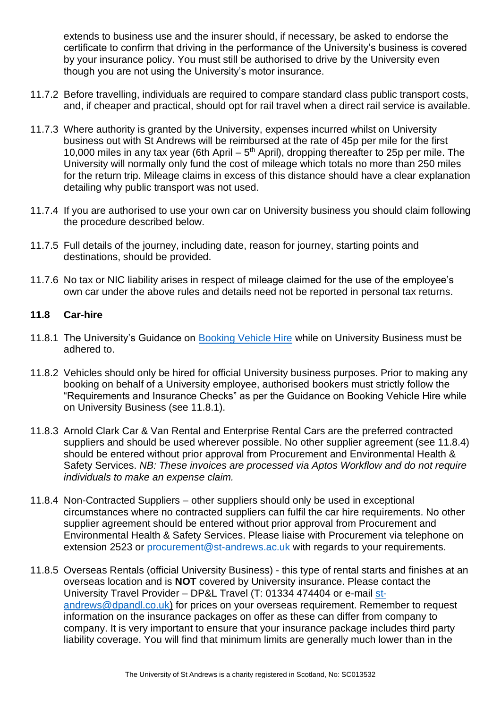extends to business use and the insurer should, if necessary, be asked to endorse the certificate to confirm that driving in the performance of the University's business is covered by your insurance policy. You must still be authorised to drive by the University even though you are not using the University's motor insurance.

- 11.7.2 Before travelling, individuals are required to compare standard class public transport costs, and, if cheaper and practical, should opt for rail travel when a direct rail service is available.
- 11.7.3 Where authority is granted by the University, expenses incurred whilst on University business out with St Andrews will be reimbursed at the rate of 45p per mile for the first 10,000 miles in any tax year (6th April  $-5<sup>th</sup>$  April), dropping thereafter to 25p per mile. The University will normally only fund the cost of mileage which totals no more than 250 miles for the return trip. Mileage claims in excess of this distance should have a clear explanation detailing why public transport was not used.
- 11.7.4 If you are authorised to use your own car on University business you should claim following the procedure described below.
- 11.7.5 Full details of the journey, including date, reason for journey, starting points and destinations, should be provided.
- 11.7.6 No tax or NIC liability arises in respect of mileage claimed for the use of the employee's own car under the above rules and details need not be reported in personal tax returns.

#### **11.8 Car-hire**

- 11.8.1 The University's Guidance on [Booking Vehicle Hire](https://www.st-andrews.ac.uk/media/restricted/procurement/intranet/car-hire-guide.pdf) while on University Business must be adhered to.
- 11.8.2 Vehicles should only be hired for official University business purposes. Prior to making any booking on behalf of a University employee, authorised bookers must strictly follow the "Requirements and Insurance Checks" as per the Guidance on Booking Vehicle Hire while on University Business (see 11.8.1).
- 11.8.3 Arnold Clark Car & Van Rental and Enterprise Rental Cars are the preferred contracted suppliers and should be used wherever possible. No other supplier agreement (see 11.8.4) should be entered without prior approval from Procurement and Environmental Health & Safety Services. *NB: These invoices are processed via Aptos Workflow and do not require individuals to make an expense claim.*
- 11.8.4 Non-Contracted Suppliers other suppliers should only be used in exceptional circumstances where no contracted suppliers can fulfil the car hire requirements. No other supplier agreement should be entered without prior approval from Procurement and Environmental Health & Safety Services. Please liaise with Procurement via telephone on extension 2523 or [procurement@st-andrews.ac.uk](mailto:procurement@st-andrews.ac.uk) with regards to your requirements.
- 11.8.5 Overseas Rentals (official University Business) this type of rental starts and finishes at an overseas location and is **NOT** covered by University insurance. Please contact the University Travel Provider – DP&L Travel (T: 01334 474404 or e-mail [st](mailto:st-andrews@dpandl.co.uk)[andrews@dpandl.co.uk\)](mailto:st-andrews@dpandl.co.uk) for prices on your overseas requirement. Remember to request information on the insurance packages on offer as these can differ from company to company. It is very important to ensure that your insurance package includes third party liability coverage. You will find that minimum limits are generally much lower than in the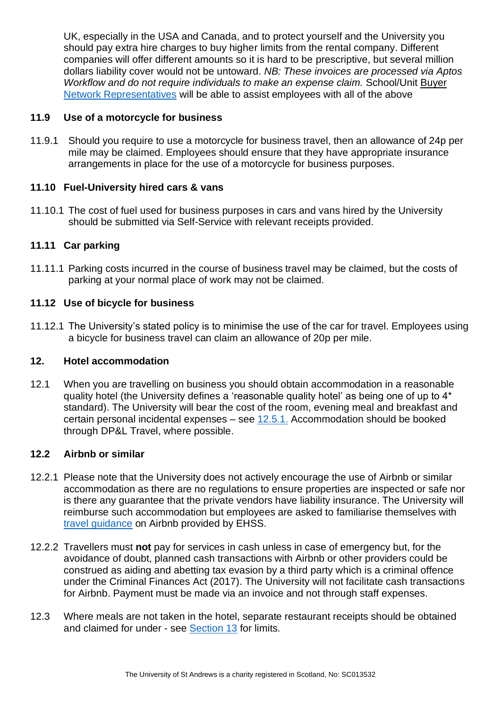UK, especially in the USA and Canada, and to protect yourself and the University you should pay extra hire charges to buy higher limits from the rental company. Different companies will offer different amounts so it is hard to be prescriptive, but several million dollars liability cover would not be untoward. *NB: These invoices are processed via Aptos Workflow and do not require individuals to make an expense claim.* School/Unit Buyer [Network Representatives](https://www.st-andrews.ac.uk/media/restricted/procurement/intranet/buyer-network-users-groupings.pdf) will be able to assist employees with all of the above

# **11.9 Use of a motorcycle for business**

11.9.1 Should you require to use a motorcycle for business travel, then an allowance of 24p per mile may be claimed. Employees should ensure that they have appropriate insurance arrangements in place for the use of a motorcycle for business purposes.

# **11.10 Fuel-University hired cars & vans**

11.10.1 The cost of fuel used for business purposes in cars and vans hired by the University should be submitted via Self-Service with relevant receipts provided.

# **11.11 Car parking**

11.11.1 Parking costs incurred in the course of business travel may be claimed, but the costs of parking at your normal place of work may not be claimed.

# **11.12 Use of bicycle for business**

11.12.1 The University's stated policy is to minimise the use of the car for travel. Employees using a bicycle for business travel can claim an allowance of 20p per mile.

#### <span id="page-8-0"></span>**12. Hotel accommodation**

12.1 When you are travelling on business you should obtain accommodation in a reasonable quality hotel (the University defines a 'reasonable quality hotel' as being one of up to 4\* standard). The University will bear the cost of the room, evening meal and breakfast and certain personal incidental expenses – see [12.5.1.](#page-9-2) Accommodation should be booked through DP&L Travel, where possible.

#### **12.2 Airbnb or similar**

- 12.2.1 Please note that the University does not actively encourage the use of Airbnb or similar accommodation as there are no regulations to ensure properties are inspected or safe nor is there any guarantee that the private vendors have liability insurance. The University will reimburse such accommodation but employees are asked to familiarise themselves with [travel guidance](https://moody.st-andrews.ac.uk/moodle/enrol/index.php?id=8220) on Airbnb provided by EHSS.
- 12.2.2 Travellers must **not** pay for services in cash unless in case of emergency but, for the avoidance of doubt, planned cash transactions with Airbnb or other providers could be construed as aiding and abetting tax evasion by a third party which is a criminal offence under the Criminal Finances Act (2017). The University will not facilitate cash transactions for Airbnb. Payment must be made via an invoice and not through staff expenses.
- 12.3 Where meals are not taken in the hotel, separate restaurant receipts should be obtained and claimed for under - see [Section 13](#page-9-0) for limits.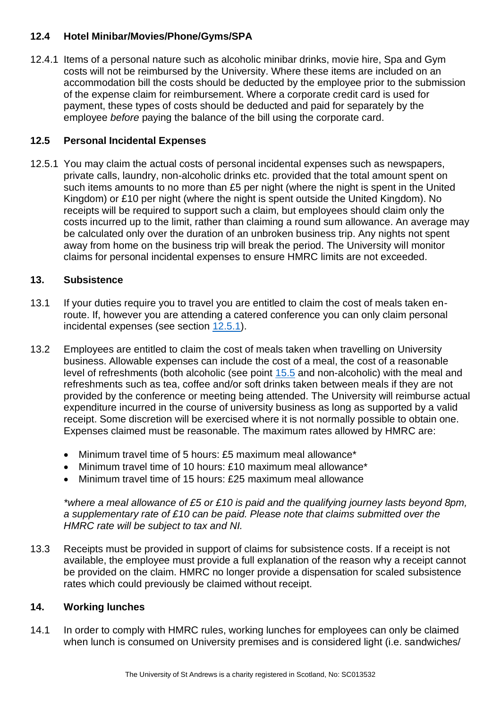# **12.4 Hotel Minibar/Movies/Phone/Gyms/SPA**

12.4.1 Items of a personal nature such as alcoholic minibar drinks, movie hire, Spa and Gym costs will not be reimbursed by the University. Where these items are included on an accommodation bill the costs should be deducted by the employee prior to the submission of the expense claim for reimbursement. Where a corporate credit card is used for payment, these types of costs should be deducted and paid for separately by the employee *before* paying the balance of the bill using the corporate card.

# <span id="page-9-2"></span>**12.5 Personal Incidental Expenses**

12.5.1 You may claim the actual costs of personal incidental expenses such as newspapers, private calls, laundry, non-alcoholic drinks etc. provided that the total amount spent on such items amounts to no more than £5 per night (where the night is spent in the United Kingdom) or £10 per night (where the night is spent outside the United Kingdom). No receipts will be required to support such a claim, but employees should claim only the costs incurred up to the limit, rather than claiming a round sum allowance. An average may be calculated only over the duration of an unbroken business trip. Any nights not spent away from home on the business trip will break the period. The University will monitor claims for personal incidental expenses to ensure HMRC limits are not exceeded.

# <span id="page-9-0"></span>**13. Subsistence**

- 13.1 If your duties require you to travel you are entitled to claim the cost of meals taken enroute. If, however you are attending a catered conference you can only claim personal incidental expenses (see section [12.5.1\)](#page-9-2).
- 13.2 Employees are entitled to claim the cost of meals taken when travelling on University business. Allowable expenses can include the cost of a meal, the cost of a reasonable level of refreshments (both alcoholic (see point [15.5](#page-10-0) and non-alcoholic) with the meal and refreshments such as tea, coffee and/or soft drinks taken between meals if they are not provided by the conference or meeting being attended. The University will reimburse actual expenditure incurred in the course of university business as long as supported by a valid receipt. Some discretion will be exercised where it is not normally possible to obtain one. Expenses claimed must be reasonable. The maximum rates allowed by HMRC are:
	- Minimum travel time of 5 hours: £5 maximum meal allowance\*
	- Minimum travel time of 10 hours: £10 maximum meal allowance\*
	- Minimum travel time of 15 hours: £25 maximum meal allowance

*\*where a meal allowance of £5 or £10 is paid and the qualifying journey lasts beyond 8pm, a supplementary rate of £10 can be paid. Please note that claims submitted over the HMRC rate will be subject to tax and NI.*

13.3 Receipts must be provided in support of claims for subsistence costs. If a receipt is not available, the employee must provide a full explanation of the reason why a receipt cannot be provided on the claim. HMRC no longer provide a dispensation for scaled subsistence rates which could previously be claimed without receipt.

# <span id="page-9-1"></span>**14. Working lunches**

14.1 In order to comply with HMRC rules, working lunches for employees can only be claimed when lunch is consumed on University premises and is considered light (i.e. sandwiches/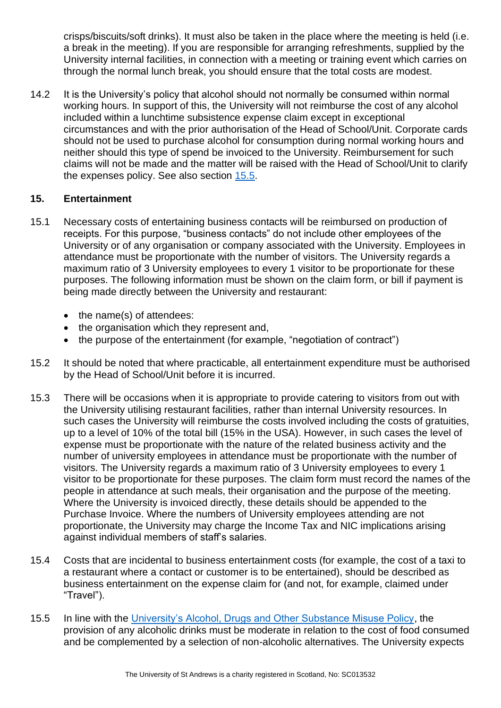crisps/biscuits/soft drinks). It must also be taken in the place where the meeting is held (i.e. a break in the meeting). If you are responsible for arranging refreshments, supplied by the University internal facilities, in connection with a meeting or training event which carries on through the normal lunch break, you should ensure that the total costs are modest.

14.2 It is the University's policy that alcohol should not normally be consumed within normal working hours. In support of this, the University will not reimburse the cost of any alcohol included within a lunchtime subsistence expense claim except in exceptional circumstances and with the prior authorisation of the Head of School/Unit. Corporate cards should not be used to purchase alcohol for consumption during normal working hours and neither should this type of spend be invoiced to the University. Reimbursement for such claims will not be made and the matter will be raised with the Head of School/Unit to clarify the expenses policy. See also section [15.5.](#page-10-0)

#### <span id="page-10-0"></span>**15. Entertainment**

- 15.1 Necessary costs of entertaining business contacts will be reimbursed on production of receipts. For this purpose, "business contacts" do not include other employees of the University or of any organisation or company associated with the University. Employees in attendance must be proportionate with the number of visitors. The University regards a maximum ratio of 3 University employees to every 1 visitor to be proportionate for these purposes. The following information must be shown on the claim form, or bill if payment is being made directly between the University and restaurant:
	- the name(s) of attendees:
	- the organisation which they represent and,
	- the purpose of the entertainment (for example, "negotiation of contract")
- 15.2 It should be noted that where practicable, all entertainment expenditure must be authorised by the Head of School/Unit before it is incurred.
- 15.3 There will be occasions when it is appropriate to provide catering to visitors from out with the University utilising restaurant facilities, rather than internal University resources. In such cases the University will reimburse the costs involved including the costs of gratuities, up to a level of 10% of the total bill (15% in the USA). However, in such cases the level of expense must be proportionate with the nature of the related business activity and the number of university employees in attendance must be proportionate with the number of visitors. The University regards a maximum ratio of 3 University employees to every 1 visitor to be proportionate for these purposes. The claim form must record the names of the people in attendance at such meals, their organisation and the purpose of the meeting. Where the University is invoiced directly, these details should be appended to the Purchase Invoice. Where the numbers of University employees attending are not proportionate, the University may charge the Income Tax and NIC implications arising against individual members of staff's salaries.
- 15.4 Costs that are incidental to business entertainment costs (for example, the cost of a taxi to a restaurant where a contact or customer is to be entertained), should be described as business entertainment on the expense claim for (and not, for example, claimed under "Travel").
- 15.5 In line with the [University's Alcohol, Drugs and Other Substance Misuse Policy,](https://www.st-andrews.ac.uk/media/human-resources/new-policy-section-documents/alcoholrelatedproblems/Policy%20and%20Guidance%20on%20the%20use%20of%20Alcohol%20Drugs%20or%20Substances.pdf) the provision of any alcoholic drinks must be moderate in relation to the cost of food consumed and be complemented by a selection of non-alcoholic alternatives. The University expects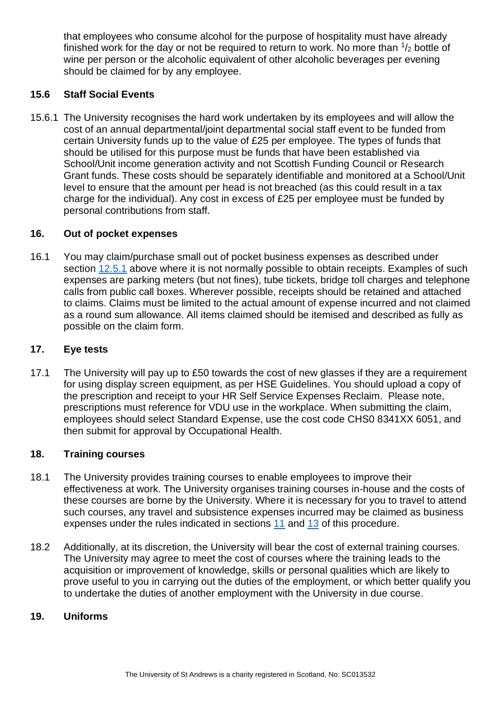that employees who consume alcohol for the purpose of hospitality must have already finished work for the day or not be required to return to work. No more than  $\frac{1}{2}$  bottle of wine per person or the alcoholic equivalent of other alcoholic beverages per evening should be claimed for by any employee.

# **15.6 Staff Social Events**

15.6.1 The University recognises the hard work undertaken by its employees and will allow the cost of an annual departmental/joint departmental social staff event to be funded from certain University funds up to the value of £25 per employee. The types of funds that should be utilised for this purpose must be funds that have been established via School/Unit income generation activity and not Scottish Funding Council or Research Grant funds. These costs should be separately identifiable and monitored at a School/Unit level to ensure that the amount per head is not breached (as this could result in a tax charge for the individual). Any cost in excess of £25 per employee must be funded by personal contributions from staff.

#### <span id="page-11-0"></span>**16. Out of pocket expenses**

16.1 You may claim/purchase small out of pocket business expenses as described under section [12.5.1](#page-9-2) above where it is not normally possible to obtain receipts. Examples of such expenses are parking meters (but not fines), tube tickets, bridge toll charges and telephone calls from public call boxes. Wherever possible, receipts should be retained and attached to claims. Claims must be limited to the actual amount of expense incurred and not claimed as a round sum allowance. All items claimed should be itemised and described as fully as possible on the claim form.

#### <span id="page-11-1"></span>**17. Eye tests**

17.1 The University will pay up to £50 towards the cost of new glasses if they are a requirement for using display screen equipment, as per [HSE Guidelines.](https://www.hse.gov.uk/msd/dse/eye-tests.htm) You should upload a copy of the prescription and receipt to your [HR Self Service Expenses Reclaim.](https://www.st-andrews.ac.uk/selfservice/) Please note, prescriptions must reference for VDU use in the workplace. When submitting the claim, employees should select Standard Expense, use the cost code CHS0 8341XX 6051, and then submit for approval by [Occupational Health.](https://www.st-andrews.ac.uk/ehss/occupationalhealth/)

#### <span id="page-11-2"></span>**18. Training courses**

- 18.1 The University provides training courses to enable employees to improve their effectiveness at work. The University organises training courses in-house and the costs of these courses are borne by the University. Where it is necessary for you to travel to attend such courses, any travel and subsistence expenses incurred may be claimed as business expenses under the rules indicated in sections [11](#page-5-1) and [13](#page-9-0) of this procedure.
- 18.2 Additionally, at its discretion, the University will bear the cost of external training courses. The University may agree to meet the cost of courses where the training leads to the acquisition or improvement of knowledge, skills or personal qualities which are likely to prove useful to you in carrying out the duties of the employment, or which better qualify you to undertake the duties of another employment with the University in due course.

#### <span id="page-11-3"></span>**19. Uniforms**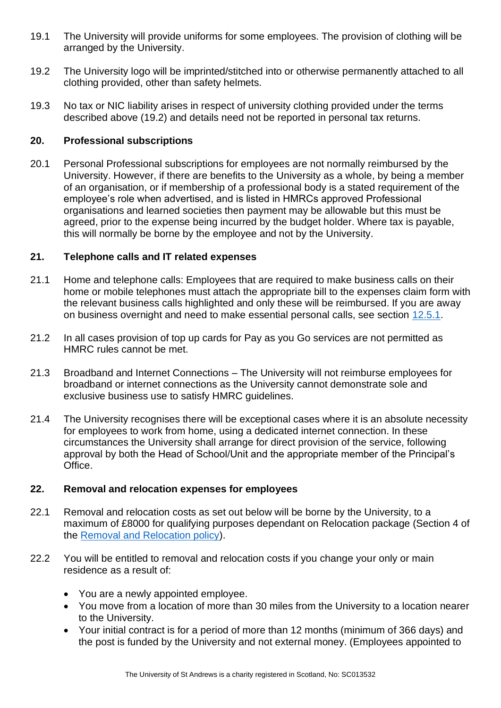- 19.1 The University will provide uniforms for some employees. The provision of clothing will be arranged by the University.
- 19.2 The University logo will be imprinted/stitched into or otherwise permanently attached to all clothing provided, other than safety helmets.
- 19.3 No tax or NIC liability arises in respect of university clothing provided under the terms described above (19.2) and details need not be reported in personal tax returns.

# <span id="page-12-0"></span>**20. Professional subscriptions**

20.1 Personal Professional subscriptions for employees are not normally reimbursed by the University. However, if there are benefits to the University as a whole, by being a member of an organisation, or if membership of a professional body is a stated requirement of the employee's role when advertised, and is listed in HMRCs approved Professional organisations and learned societies then payment may be allowable but this must be agreed, prior to the expense being incurred by the budget holder. Where tax is payable, this will normally be borne by the employee and not by the University.

# <span id="page-12-1"></span>**21. Telephone calls and IT related expenses**

- 21.1 Home and telephone calls: Employees that are required to make business calls on their home or mobile telephones must attach the appropriate bill to the expenses claim form with the relevant business calls highlighted and only these will be reimbursed. If you are away on business overnight and need to make essential personal calls, see section [12.5.1.](#page-9-2)
- 21.2 In all cases provision of top up cards for Pay as you Go services are not permitted as HMRC rules cannot be met.
- 21.3 Broadband and Internet Connections The University will not reimburse employees for broadband or internet connections as the University cannot demonstrate sole and exclusive business use to satisfy HMRC guidelines.
- 21.4 The University recognises there will be exceptional cases where it is an absolute necessity for employees to work from home, using a dedicated internet connection. In these circumstances the University shall arrange for direct provision of the service, following approval by both the Head of School/Unit and the appropriate member of the Principal's Office.

#### <span id="page-12-2"></span>**22. Removal and relocation expenses for employees**

- 22.1 Removal and relocation costs as set out below will be borne by the University, to a maximum of £8000 for qualifying purposes dependant on Relocation package (Section 4 of the [Removal and Relocation policy\)](https://www.st-andrews.ac.uk/hr/salariesandpensions/removalandrelocationpolicy/).
- 22.2 You will be entitled to removal and relocation costs if you change your only or main residence as a result of:
	- You are a newly appointed employee.
	- You move from a location of more than 30 miles from the University to a location nearer to the University.
	- Your initial contract is for a period of more than 12 months (minimum of 366 days) and the post is funded by the University and not external money. (Employees appointed to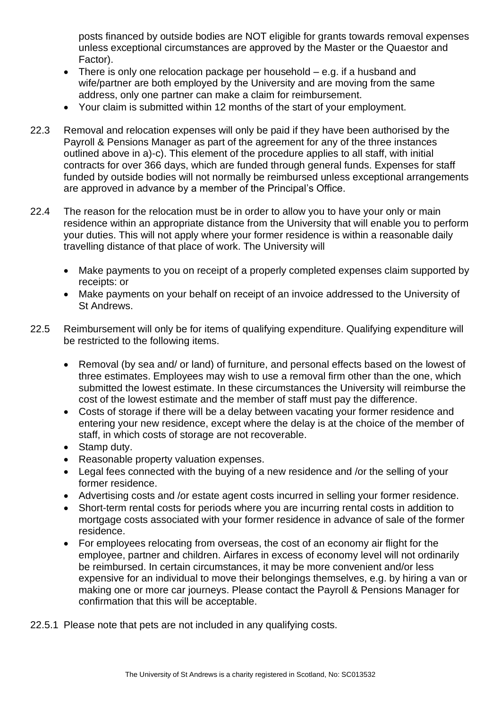posts financed by outside bodies are NOT eligible for grants towards removal expenses unless exceptional circumstances are approved by the Master or the Quaestor and Factor).

- There is only one relocation package per household e.g. if a husband and wife/partner are both employed by the University and are moving from the same address, only one partner can make a claim for reimbursement.
- Your claim is submitted within 12 months of the start of your employment.
- 22.3 Removal and relocation expenses will only be paid if they have been authorised by the Payroll & Pensions Manager as part of the agreement for any of the three instances outlined above in a)-c). This element of the procedure applies to all staff, with initial contracts for over 366 days, which are funded through general funds. Expenses for staff funded by outside bodies will not normally be reimbursed unless exceptional arrangements are approved in advance by a member of the Principal's Office.
- 22.4 The reason for the relocation must be in order to allow you to have your only or main residence within an appropriate distance from the University that will enable you to perform your duties. This will not apply where your former residence is within a reasonable daily travelling distance of that place of work. The University will
	- Make payments to you on receipt of a properly completed expenses claim supported by receipts: or
	- Make payments on your behalf on receipt of an invoice addressed to the University of St Andrews.
- 22.5 Reimbursement will only be for items of qualifying expenditure. Qualifying expenditure will be restricted to the following items.
	- Removal (by sea and/ or land) of furniture, and personal effects based on the lowest of three estimates. Employees may wish to use a removal firm other than the one, which submitted the lowest estimate. In these circumstances the University will reimburse the cost of the lowest estimate and the member of staff must pay the difference.
	- Costs of storage if there will be a delay between vacating your former residence and entering your new residence, except where the delay is at the choice of the member of staff, in which costs of storage are not recoverable.
	- Stamp duty.
	- Reasonable property valuation expenses.
	- Legal fees connected with the buying of a new residence and /or the selling of your former residence.
	- Advertising costs and /or estate agent costs incurred in selling your former residence.
	- Short-term rental costs for periods where you are incurring rental costs in addition to mortgage costs associated with your former residence in advance of sale of the former residence.
	- For employees relocating from overseas, the cost of an economy air flight for the employee, partner and children. Airfares in excess of economy level will not ordinarily be reimbursed. In certain circumstances, it may be more convenient and/or less expensive for an individual to move their belongings themselves, e.g. by hiring a van or making one or more car journeys. Please contact the Payroll & Pensions Manager for confirmation that this will be acceptable.

22.5.1 Please note that pets are not included in any qualifying costs.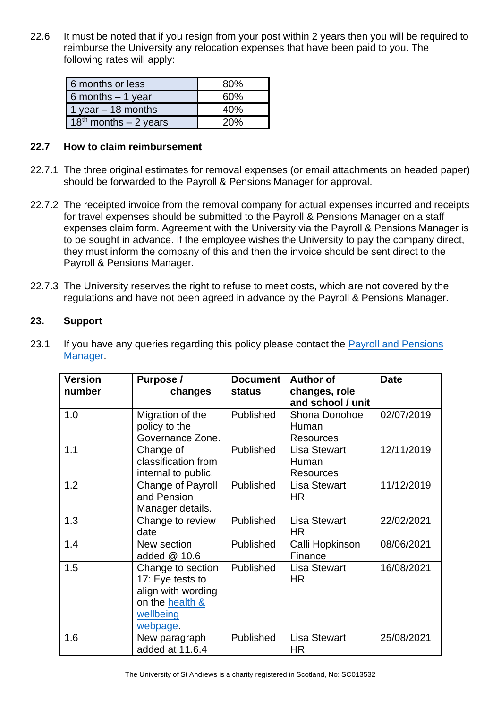22.6 It must be noted that if you resign from your post within 2 years then you will be required to reimburse the University any relocation expenses that have been paid to you. The following rates will apply:

| 6 months or less         | 80% |
|--------------------------|-----|
| 6 months $-1$ year       | 60% |
| 1 year $-$ 18 months     | 40% |
| $18th$ months $-2$ years | 20% |

#### **22.7 How to claim reimbursement**

- 22.7.1 The three original estimates for removal expenses (or email attachments on headed paper) should be forwarded to the Payroll & Pensions Manager for approval.
- 22.7.2 The receipted invoice from the removal company for actual expenses incurred and receipts for travel expenses should be submitted to the Payroll & Pensions Manager on a staff expenses claim form. Agreement with the University via the Payroll & Pensions Manager is to be sought in advance. If the employee wishes the University to pay the company direct, they must inform the company of this and then the invoice should be sent direct to the Payroll & Pensions Manager.
- 22.7.3 The University reserves the right to refuse to meet costs, which are not covered by the regulations and have not been agreed in advance by the Payroll & Pensions Manager.

# <span id="page-14-0"></span>**23. Support**

| <b>Version</b><br>number | Purpose /<br>changes                                                                                    | <b>Document</b><br>status | <b>Author of</b><br>changes, role<br>and school / unit | <b>Date</b> |
|--------------------------|---------------------------------------------------------------------------------------------------------|---------------------------|--------------------------------------------------------|-------------|
| 1.0                      | Migration of the<br>policy to the<br>Governance Zone.                                                   | <b>Published</b>          | Shona Donohoe<br>Human<br><b>Resources</b>             | 02/07/2019  |
| 1.1                      | Change of<br>classification from<br>internal to public.                                                 | Published                 | <b>Lisa Stewart</b><br>Human<br><b>Resources</b>       | 12/11/2019  |
| 1.2                      | Change of Payroll<br>and Pension<br>Manager details.                                                    | Published                 | <b>Lisa Stewart</b><br><b>HR</b>                       | 11/12/2019  |
| 1.3                      | Change to review<br>date                                                                                | <b>Published</b>          | <b>Lisa Stewart</b><br>HR                              | 22/02/2021  |
| 1.4                      | New section<br>added $@$ 10.6                                                                           | Published                 | Calli Hopkinson<br>Finance                             | 08/06/2021  |
| 1.5                      | Change to section<br>17: Eye tests to<br>align with wording<br>on the health &<br>wellbeing<br>webpage. | Published                 | <b>Lisa Stewart</b><br><b>HR</b>                       | 16/08/2021  |
| 1.6                      | New paragraph<br>added at 11.6.4                                                                        | Published                 | <b>Lisa Stewart</b><br><b>HR</b>                       | 25/08/2021  |

23.1 If you have any queries regarding this policy please contact the Payroll and Pensions [Manager.](https://www.st-andrews.ac.uk/hr/hrstaff/)